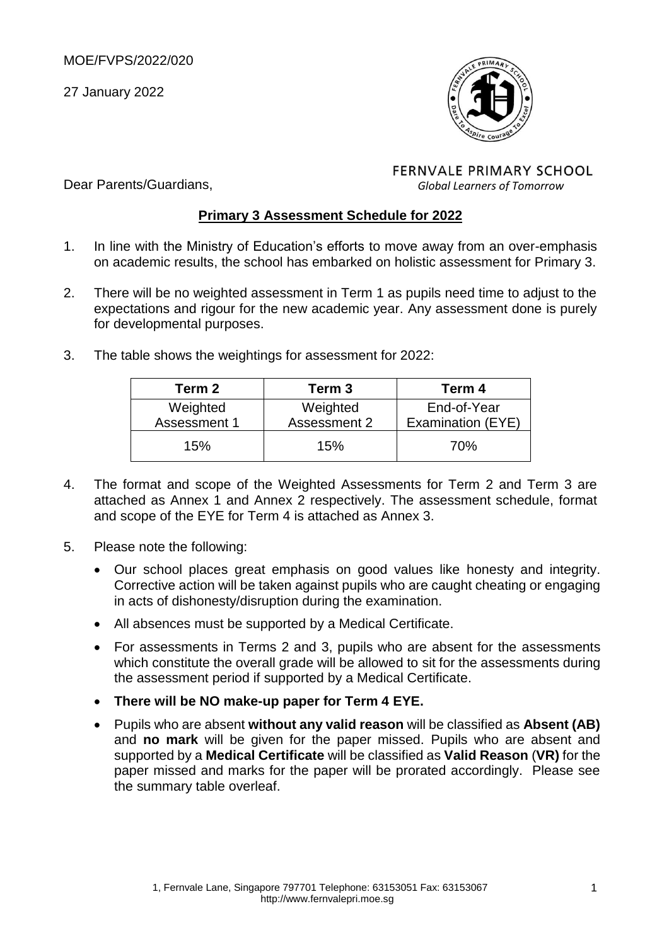Dear Parents/Guardians,

27 January 2022



**FERNVALE PRIMARY SCHOOL** *Global Learners of Tomorrow*

#### **Primary 3 Assessment Schedule for 2022**

- 1. In line with the Ministry of Education's efforts to move away from an over-emphasis on academic results, the school has embarked on holistic assessment for Primary 3.
- 2. There will be no weighted assessment in Term 1 as pupils need time to adjust to the expectations and rigour for the new academic year. Any assessment done is purely for developmental purposes.
- 3. The table shows the weightings for assessment for 2022:

| Term 2       | Term 3       | Term 4            |
|--------------|--------------|-------------------|
| Weighted     | Weighted     | End-of-Year       |
| Assessment 1 | Assessment 2 | Examination (EYE) |
| 15%          | 15%          | 70%               |

- 4. The format and scope of the Weighted Assessments for Term 2 and Term 3 are attached as Annex 1 and Annex 2 respectively. The assessment schedule, format and scope of the EYE for Term 4 is attached as Annex 3.
- 5. Please note the following:
	- Our school places great emphasis on good values like honesty and integrity. Corrective action will be taken against pupils who are caught cheating or engaging in acts of dishonesty/disruption during the examination.
	- All absences must be supported by a Medical Certificate.
	- For assessments in Terms 2 and 3, pupils who are absent for the assessments which constitute the overall grade will be allowed to sit for the assessments during the assessment period if supported by a Medical Certificate.
	- **There will be NO make-up paper for Term 4 EYE.**
	- Pupils who are absent **without any valid reason** will be classified as **Absent (AB)** and **no mark** will be given for the paper missed. Pupils who are absent and supported by a **Medical Certificate** will be classified as **Valid Reason** (**VR)** for the paper missed and marks for the paper will be prorated accordingly. Please see the summary table overleaf.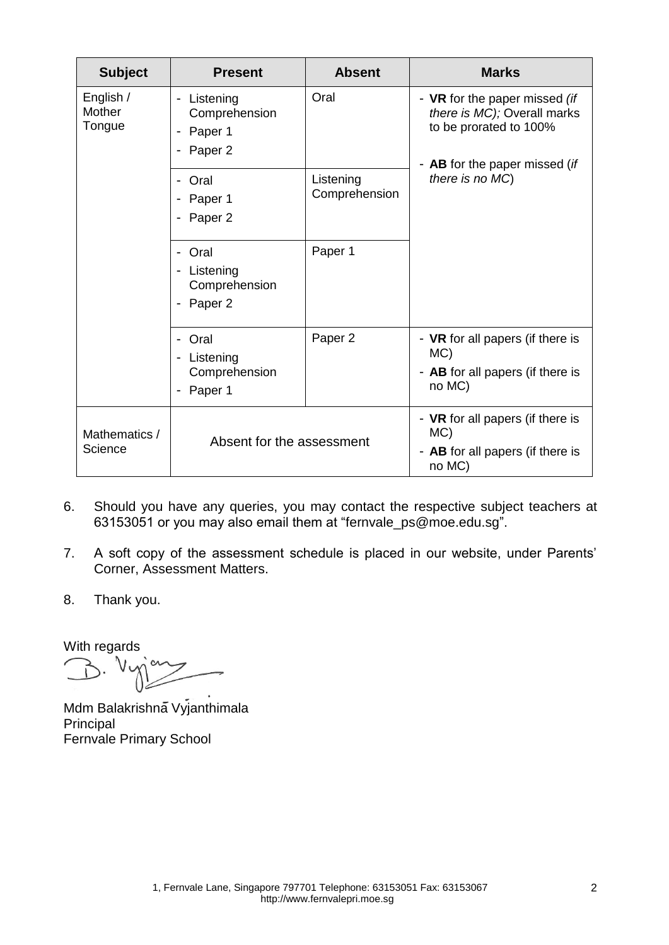| <b>Subject</b>                | <b>Present</b>                                     | <b>Absent</b>              | <b>Marks</b>                                                                                                            |
|-------------------------------|----------------------------------------------------|----------------------------|-------------------------------------------------------------------------------------------------------------------------|
| English /<br>Mother<br>Tongue | - Listening<br>Comprehension<br>Paper 1<br>Paper 2 | Oral                       | - VR for the paper missed (if<br>there is MC); Overall marks<br>to be prorated to 100%<br>- AB for the paper missed (if |
|                               | Oral<br>Paper 1<br>Paper <sub>2</sub>              | Listening<br>Comprehension | there is no MC)                                                                                                         |
|                               | Oral<br>Listening<br>Comprehension<br>Paper 2      | Paper 1                    |                                                                                                                         |
|                               | Oral<br>Listening<br>Comprehension<br>Paper 1      | Paper <sub>2</sub>         | - VR for all papers (if there is<br>$MC$ )<br>- AB for all papers (if there is<br>no MC)                                |
| Mathematics /<br>Science      | Absent for the assessment                          |                            | - VR for all papers (if there is<br>MC)<br>- AB for all papers (if there is<br>no MC)                                   |

- 6. Should you have any queries, you may contact the respective subject teachers at 63153051 or you may also email them at ["fernvale\\_ps@moe.edu.sg"](mailto:fernvale_ps@moe.edu.sg).
- 7. A soft copy of the assessment schedule is placed in our website, under Parents' Corner, Assessment Matters.
- 8. Thank you.

With regards<br>  $\bigcup$   $\bigcup$   $\bigcup$   $\bigcup$ 

Mdm Balakrishna Vyjanthimala Principal Fernvale Primary School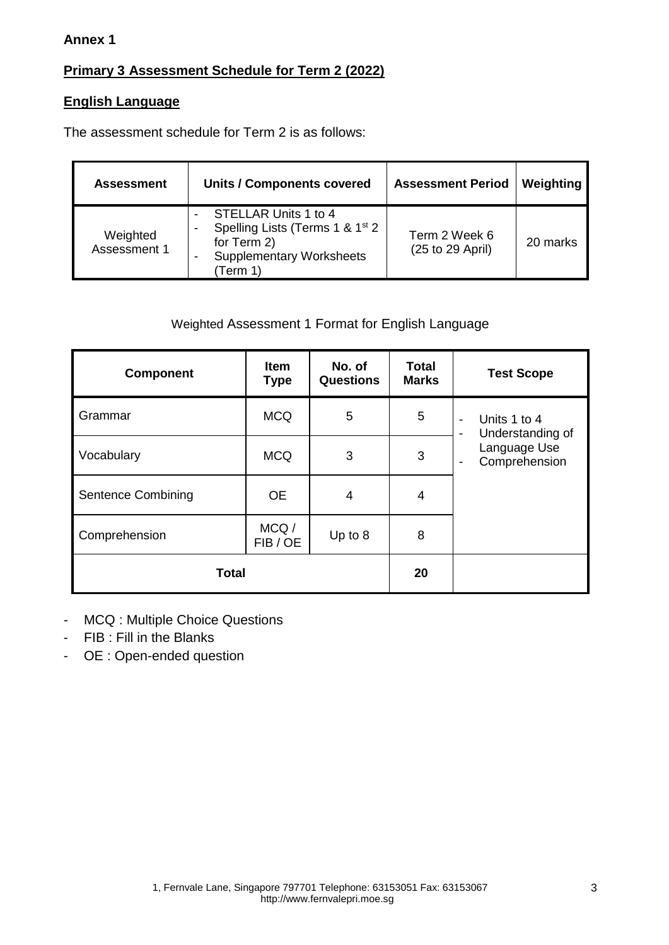#### **Annex 1**

## **Primary 3 Assessment Schedule for Term 2 (2022)**

### **English Language**

The assessment schedule for Term 2 is as follows:

| <b>Assessment</b>        | <b>Units / Components covered</b>                                                                                                 | <b>Assessment Period</b>          | Weighting |
|--------------------------|-----------------------------------------------------------------------------------------------------------------------------------|-----------------------------------|-----------|
| Weighted<br>Assessment 1 | STELLAR Units 1 to 4<br>Spelling Lists (Terms 1 & 1 <sup>st</sup> 2<br>for Term 2)<br><b>Supplementary Worksheets</b><br>(Term 1) | Term 2 Week 6<br>(25 to 29 April) | 20 marks  |

## Weighted Assessment 1 Format for English Language

| <b>Component</b>          | <b>Item</b><br><b>Type</b> | No. of<br><b>Questions</b> | <b>Total</b><br><b>Marks</b> | <b>Test Scope</b>                                                 |
|---------------------------|----------------------------|----------------------------|------------------------------|-------------------------------------------------------------------|
| Grammar                   | <b>MCQ</b>                 | 5                          | 5                            | Units 1 to 4<br>$\overline{\phantom{0}}$<br>Understanding of<br>- |
| Vocabulary                | <b>MCQ</b>                 | 3                          | 3                            | Language Use<br>Comprehension<br>-                                |
| <b>Sentence Combining</b> | <b>OE</b>                  | 4                          | $\overline{4}$               |                                                                   |
| Comprehension             | MCQ/<br>FIB/OE             | Up to $8$                  | 8                            |                                                                   |
| <b>Total</b>              | 20                         |                            |                              |                                                                   |

- MCQ : Multiple Choice Questions
- FIB : Fill in the Blanks
- OE : Open-ended question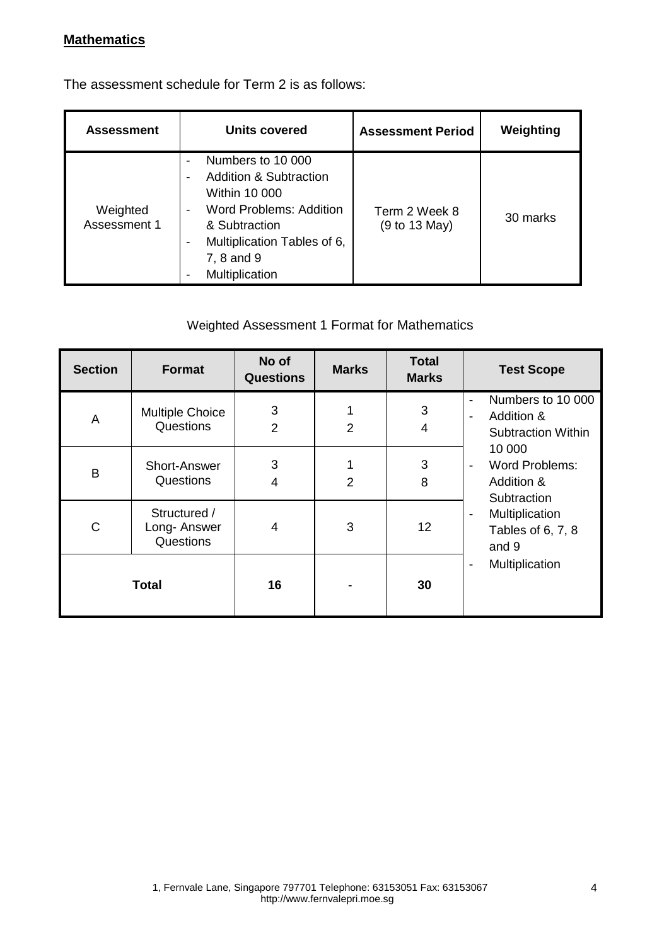### **Mathematics**

The assessment schedule for Term 2 is as follows:

| <b>Assessment</b>        | Units covered                                                                                                                                                                                                                    | <b>Assessment Period</b>       | Weighting |
|--------------------------|----------------------------------------------------------------------------------------------------------------------------------------------------------------------------------------------------------------------------------|--------------------------------|-----------|
| Weighted<br>Assessment 1 | Numbers to 10 000<br><b>Addition &amp; Subtraction</b><br>Within 10 000<br>Word Problems: Addition<br>$\blacksquare$<br>& Subtraction<br>Multiplication Tables of 6,<br>$\overline{\phantom{a}}$<br>7, 8 and 9<br>Multiplication | Term 2 Week 8<br>(9 to 13 May) | 30 marks  |

### Weighted Assessment 1 Format for Mathematics

| <b>Section</b> | <b>Format</b>                            | No of<br><b>Questions</b> | <b>Marks</b>   | <b>Total</b><br><b>Marks</b> | <b>Test Scope</b>                                                              |
|----------------|------------------------------------------|---------------------------|----------------|------------------------------|--------------------------------------------------------------------------------|
| A              | <b>Multiple Choice</b><br>Questions      | 3<br>$\overline{2}$       | $\overline{2}$ | 3<br>4                       | Numbers to 10 000<br>$\blacksquare$<br>Addition &<br><b>Subtraction Within</b> |
| B              | Short-Answer<br>Questions                | 3<br>4                    | $\overline{2}$ | 3<br>8                       | 10 000<br>Word Problems:<br>$\blacksquare$<br>Addition &<br>Subtraction        |
| C              | Structured /<br>Long-Answer<br>Questions | 4                         | 3              | 12                           | Multiplication<br>$\blacksquare$<br>Tables of 6, 7, 8<br>and 9                 |
|                | <b>Total</b>                             | 16                        |                | 30                           | Multiplication<br>$\overline{\phantom{a}}$                                     |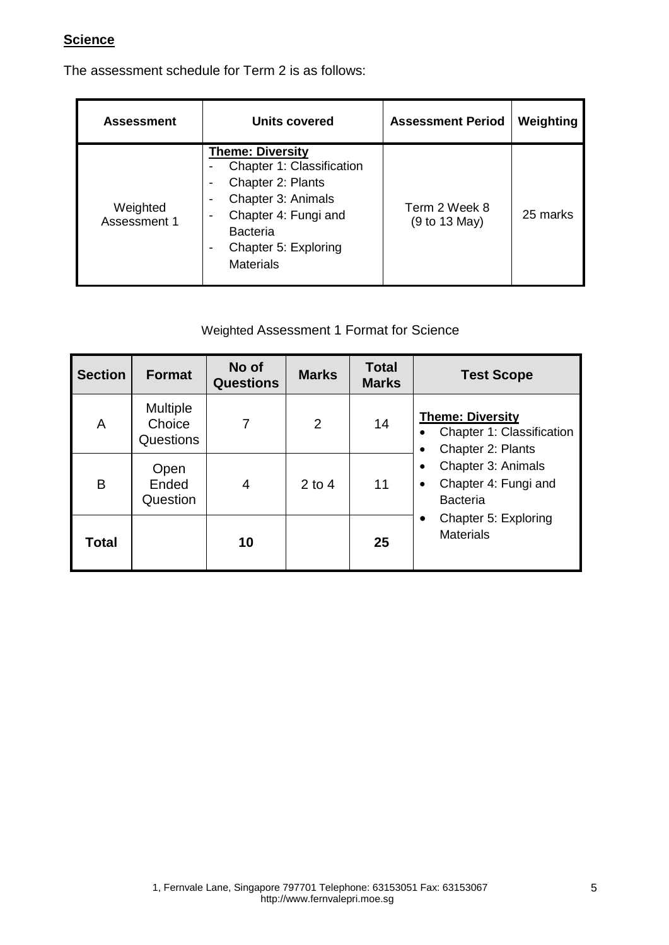### **Science**

The assessment schedule for Term 2 is as follows:

| <b>Assessment</b>        | Units covered                                                                                                                                                                          | <b>Assessment Period</b>       | Weighting |
|--------------------------|----------------------------------------------------------------------------------------------------------------------------------------------------------------------------------------|--------------------------------|-----------|
| Weighted<br>Assessment 1 | <b>Theme: Diversity</b><br>Chapter 1: Classification<br>Chapter 2: Plants<br>Chapter 3: Animals<br>Chapter 4: Fungi and<br><b>Bacteria</b><br>Chapter 5: Exploring<br><b>Materials</b> | Term 2 Week 8<br>(9 to 13 May) | 25 marks  |

### Weighted Assessment 1 Format for Science

| <b>Section</b> | <b>Format</b>                          | No of<br><b>Questions</b> | <b>Marks</b>   | <b>Total</b><br><b>Marks</b> | <b>Test Scope</b>                                                                      |
|----------------|----------------------------------------|---------------------------|----------------|------------------------------|----------------------------------------------------------------------------------------|
| A              | <b>Multiple</b><br>Choice<br>Questions | 7                         | $\overline{2}$ | 14                           | <b>Theme: Diversity</b><br>Chapter 1: Classification<br>Chapter 2: Plants<br>$\bullet$ |
| Β              | Open<br>Ended<br>Question              | 4                         | $2$ to 4       | 11                           | Chapter 3: Animals<br>٠<br>Chapter 4: Fungi and<br>$\bullet$<br><b>Bacteria</b>        |
| Total          |                                        | 10                        |                | 25                           | Chapter 5: Exploring<br>$\bullet$<br><b>Materials</b>                                  |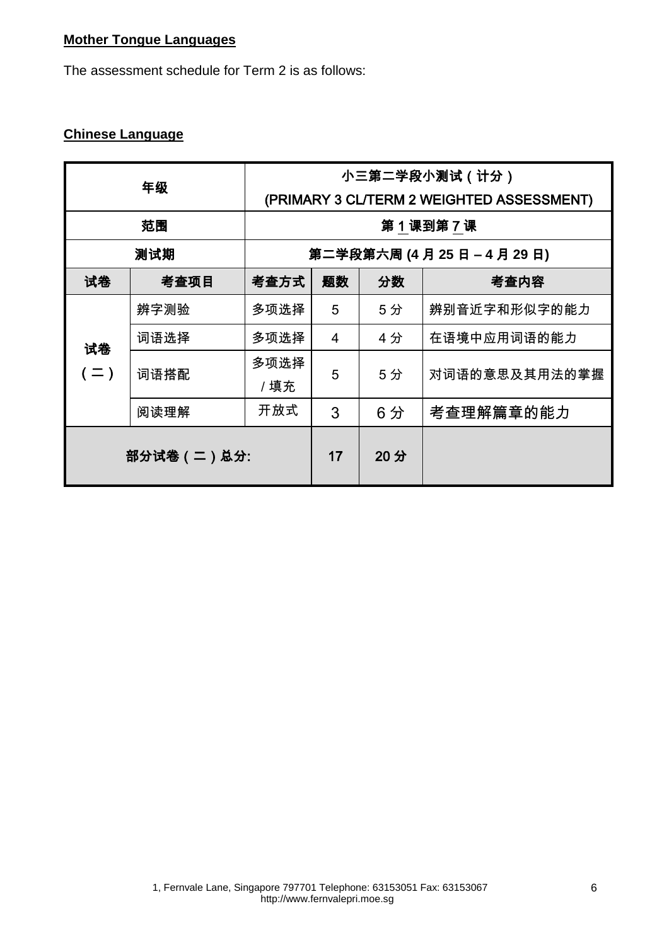### **Mother Tongue Languages**

The assessment schedule for Term 2 is as follows:

## **Chinese Language**

|             | 年级   | 小三第二学段小测试 ( 计分 )<br>(PRIMARY 3 CL/TERM 2 WEIGHTED ASSESSMENT) |        |    |               |
|-------------|------|---------------------------------------------------------------|--------|----|---------------|
|             | 范围   | 第1课到第7课                                                       |        |    |               |
|             | 测试期  | 第二学段第六周 (4月25日-4月29日)                                         |        |    |               |
| 试卷          | 考查项目 | 考查方式                                                          | 题数     | 分数 | 考查内容          |
|             | 辨字测验 | 多项选择                                                          | 5      | 5分 | 辨别音近字和形似字的能力  |
| 试卷          | 词语选择 | 多项选择                                                          | 4      | 4分 | 在语境中应用词语的能力   |
| $( = )$     | 词语搭配 | 多项选择<br>/填充                                                   | 5      | 5分 | 对词语的意思及其用法的掌握 |
|             | 阅读理解 | 开放式                                                           | 3      | 6分 | 考查理解篇章的能力     |
| 部分试卷 (二)总分: |      | 17                                                            | $20$ 分 |    |               |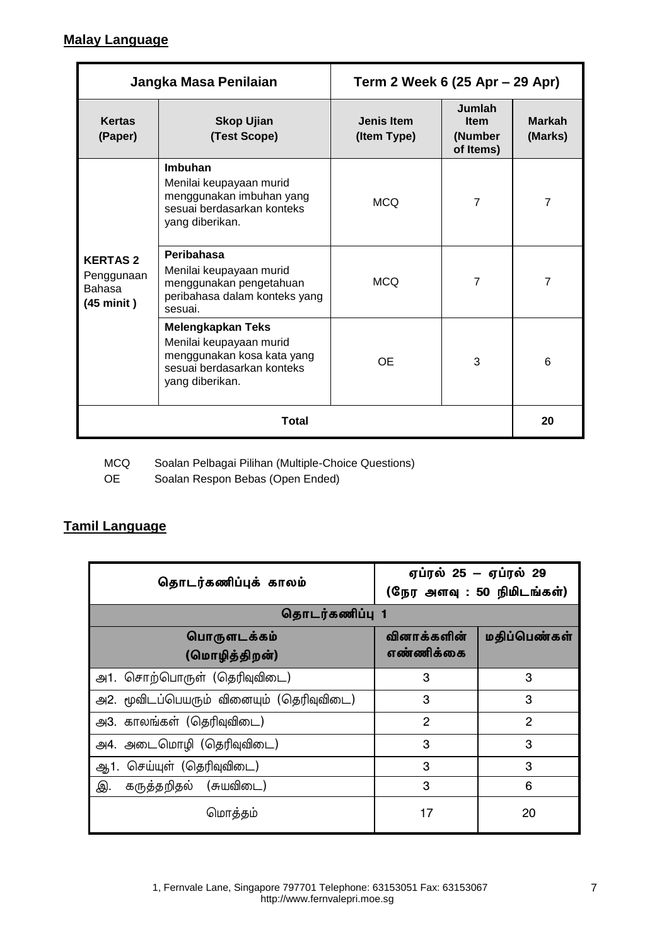### **Malay Language**

| Jangka Masa Penilaian                                                |                                                                                                                                    | Term 2 Week 6 (25 Apr – 29 Apr) |                                               |                          |
|----------------------------------------------------------------------|------------------------------------------------------------------------------------------------------------------------------------|---------------------------------|-----------------------------------------------|--------------------------|
| <b>Kertas</b><br>(Paper)                                             | <b>Skop Ujian</b><br>(Test Scope)                                                                                                  | Jenis Item<br>(Item Type)       | Jumlah<br><b>Item</b><br>(Number<br>of Items) | <b>Markah</b><br>(Marks) |
|                                                                      | Imbuhan<br>Menilai keupayaan murid<br>menggunakan imbuhan yang<br>sesuai berdasarkan konteks<br>yang diberikan.                    | <b>MCQ</b>                      | $\overline{7}$                                | $\overline{7}$           |
| <b>KERTAS2</b><br>Penggunaan<br><b>Bahasa</b><br>$(45 \text{ mini})$ | Peribahasa<br>Menilai keupayaan murid<br>menggunakan pengetahuan<br>peribahasa dalam konteks yang<br>sesuai.                       | <b>MCQ</b>                      | 7                                             | $\overline{7}$           |
|                                                                      | <b>Melengkapkan Teks</b><br>Menilai keupayaan murid<br>menggunakan kosa kata yang<br>sesuai berdasarkan konteks<br>yang diberikan. | <b>OE</b>                       | 3                                             | 6                        |
|                                                                      | <b>Total</b>                                                                                                                       |                                 |                                               | 20                       |

MCQ Soalan Pelbagai Pilihan (Multiple-Choice Questions)<br>OE Soalan Respon Bebas (Open Ended)

Soalan Respon Bebas (Open Ended)

### **Tamil Language**

| தொடர்கணிப்புக் காலம்                     | ஏப்ரல் 25 – ஏப்ரல் 29<br>(நேர அளவு : 50 நிமிடங்கள்) |                |  |
|------------------------------------------|-----------------------------------------------------|----------------|--|
| தொடர்கணிப்பு 1                           |                                                     |                |  |
| பொருளடக்கம்<br>(மொழித்திறன்)             | வினாக்களின்<br>எண்ணிக்கை                            | மதிப்பெண்கள்   |  |
| அ1. சொற்பொருள் (தெரிவுவிடை)              | 3                                                   | 3              |  |
| அ2. மூவிடப்பெயரும் வினையும் (தெரிவுவிடை) | 3                                                   | 3              |  |
| அ3. காலங்கள் (தெரிவுவிடை)                | $\overline{2}$                                      | $\overline{2}$ |  |
| அ4. அடைமொழி (தெரிவுவிடை)                 | 3                                                   | 3              |  |
| ஆ1. செய்யுள் (தெரிவுவிடை)                | 3                                                   | 3              |  |
| கருத்தறிதல் (சுயவிடை)<br>இ.              | 3                                                   | 6              |  |
| மொத்தம்                                  | 17                                                  | 20             |  |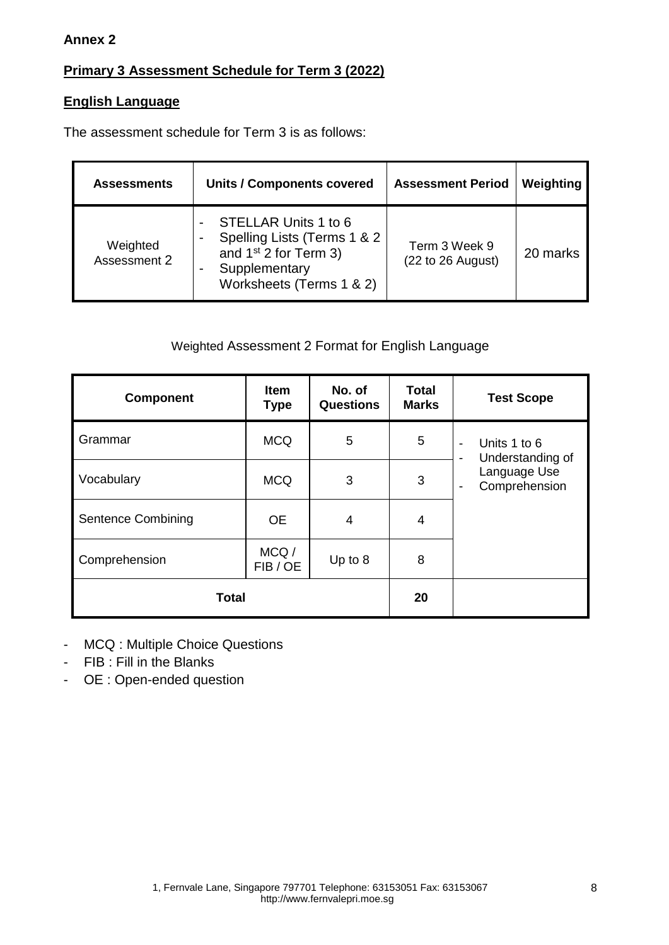#### **Annex 2**

## **Primary 3 Assessment Schedule for Term 3 (2022)**

### **English Language**

The assessment schedule for Term 3 is as follows:

| <b>Assessments</b>       | <b>Units / Components covered</b>                                                                                           | <b>Assessment Period</b>           | Weighting |
|--------------------------|-----------------------------------------------------------------------------------------------------------------------------|------------------------------------|-----------|
| Weighted<br>Assessment 2 | STELLAR Units 1 to 6<br>Spelling Lists (Terms 1 & 2<br>and $1st$ 2 for Term 3)<br>Supplementary<br>Worksheets (Terms 1 & 2) | Term 3 Week 9<br>(22 to 26 August) | 20 marks  |

### Weighted Assessment 2 Format for English Language

| <b>Component</b>          | Item<br><b>Type</b> | No. of<br><b>Questions</b> | <b>Total</b><br><b>Marks</b> | <b>Test Scope</b>                          |
|---------------------------|---------------------|----------------------------|------------------------------|--------------------------------------------|
| Grammar                   | <b>MCQ</b>          | 5                          | 5                            | Units 1 to 6<br>۰<br>Understanding of<br>- |
| Vocabulary                | <b>MCQ</b>          | 3                          | 3                            | Language Use<br>Comprehension<br>-         |
| <b>Sentence Combining</b> | <b>OE</b>           | 4                          | 4                            |                                            |
| Comprehension             | MCQ/<br>FIB/OE      | Up to 8                    | 8                            |                                            |
| <b>Total</b>              | 20                  |                            |                              |                                            |

- MCQ : Multiple Choice Questions

- FIB : Fill in the Blanks
- OE : Open-ended question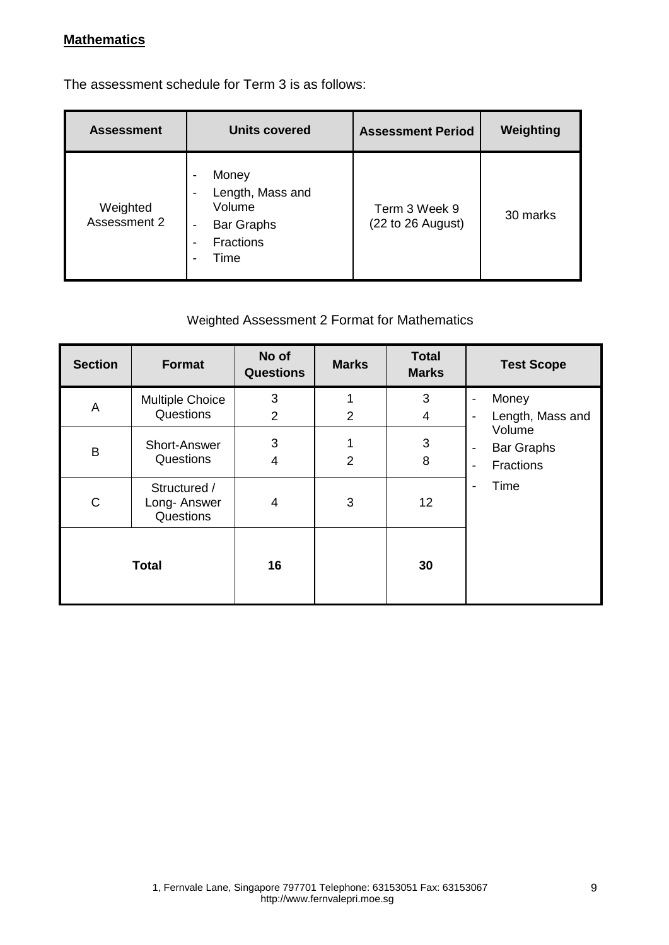### **Mathematics**

The assessment schedule for Term 3 is as follows:

| <b>Assessment</b>        | <b>Units covered</b>                                                                                                                         | <b>Assessment Period</b>           | Weighting |
|--------------------------|----------------------------------------------------------------------------------------------------------------------------------------------|------------------------------------|-----------|
| Weighted<br>Assessment 2 | Money<br>$\overline{\phantom{0}}$<br>Length, Mass and<br>Volume<br><b>Bar Graphs</b><br>$\overline{\phantom{a}}$<br><b>Fractions</b><br>Time | Term 3 Week 9<br>(22 to 26 August) | 30 marks  |

## Weighted Assessment 2 Format for Mathematics

| <b>Section</b> | <b>Format</b>                            | No of<br><b>Questions</b> | <b>Marks</b>   | <b>Total</b><br><b>Marks</b> | <b>Test Scope</b>                                                                |
|----------------|------------------------------------------|---------------------------|----------------|------------------------------|----------------------------------------------------------------------------------|
| A              | <b>Multiple Choice</b><br>Questions      | 3<br>$\overline{2}$       | $\overline{2}$ | 3<br>4                       | Money<br>Length, Mass and                                                        |
| B              | <b>Short-Answer</b><br>Questions         | 3<br>4                    | $\overline{2}$ | 3<br>8                       | Volume<br><b>Bar Graphs</b><br>-<br><b>Fractions</b><br>$\overline{\phantom{0}}$ |
| $\mathsf{C}$   | Structured /<br>Long-Answer<br>Questions | 4                         | 3              | 12                           | Time<br>۰                                                                        |
| <b>Total</b>   |                                          | 16                        |                | 30                           |                                                                                  |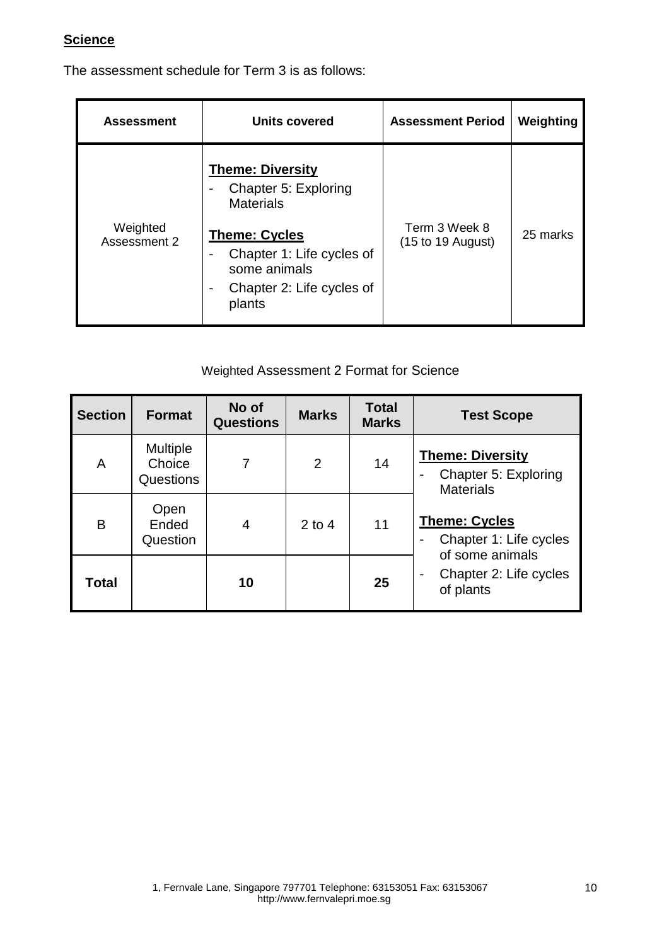### **Science**

The assessment schedule for Term 3 is as follows:

| <b>Assessment</b>        | <b>Units covered</b>                                                                                                                                                            | <b>Assessment Period</b>                              | Weighting |
|--------------------------|---------------------------------------------------------------------------------------------------------------------------------------------------------------------------------|-------------------------------------------------------|-----------|
| Weighted<br>Assessment 2 | <b>Theme: Diversity</b><br>Chapter 5: Exploring<br><b>Materials</b><br><b>Theme: Cycles</b><br>Chapter 1: Life cycles of<br>some animals<br>Chapter 2: Life cycles of<br>plants | Term 3 Week 8<br>$(15 \text{ to } 19 \text{ August})$ | 25 marks  |

Weighted Assessment 2 Format for Science

| <b>Section</b> | <b>Format</b>                          | No of<br><b>Questions</b> | <b>Marks</b>   | <b>Total</b><br><b>Marks</b> | <b>Test Scope</b>                                                                     |
|----------------|----------------------------------------|---------------------------|----------------|------------------------------|---------------------------------------------------------------------------------------|
| A              | <b>Multiple</b><br>Choice<br>Questions |                           | $\overline{2}$ | 14                           | <b>Theme: Diversity</b><br>Chapter 5: Exploring<br>$\blacksquare$<br><b>Materials</b> |
| B              | Open<br>Ended<br>Question              | 4                         | $2$ to 4       | 11                           | <b>Theme: Cycles</b><br>Chapter 1: Life cycles<br>$\blacksquare$<br>of some animals   |
| Total          |                                        | 10                        |                | 25                           | Chapter 2: Life cycles<br>$\blacksquare$<br>of plants                                 |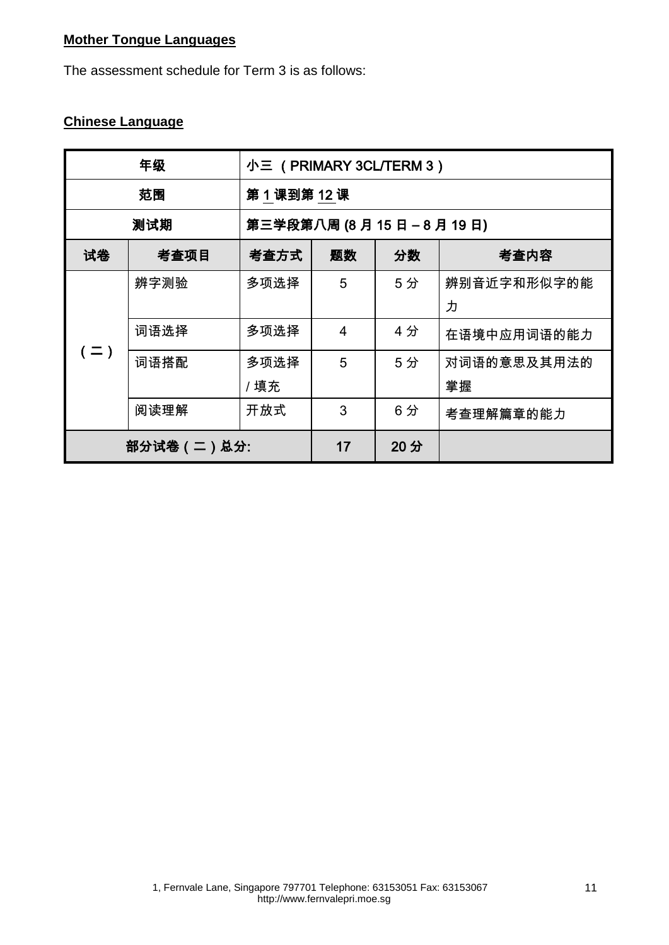## **Mother Tongue Languages**

The assessment schedule for Term 3 is as follows:

### **Chinese Language**

| 年级      |                | 小三 (PRIMARY 3CL/TERM 3) |                  |     |             |  |
|---------|----------------|-------------------------|------------------|-----|-------------|--|
| 范围      |                | 第1课到第12课                |                  |     |             |  |
|         | 测试期            | 第三学段第八周 (8月15日-8月19日)   |                  |     |             |  |
| 试卷      | 考查项目           | 考查方式                    | 分数<br>题数<br>考查内容 |     |             |  |
|         | 辨字测验           | 多项选择                    | 5                | 5分  | 辨别音近字和形似字的能 |  |
|         |                |                         |                  |     | 力           |  |
|         | 词语选择           | 多项选择                    | $\overline{4}$   | 4分  | 在语境中应用词语的能力 |  |
| $( = )$ | 词语搭配           | 多项选择                    | 5                | 5分  | 对词语的意思及其用法的 |  |
|         |                | /填充                     |                  |     | 掌握          |  |
|         | 阅读理解           | 开放式                     | 3                | 6分  | 考查理解篇章的能力   |  |
|         | 部分试卷 ( 二 ) 总分: |                         | 17               | 20分 |             |  |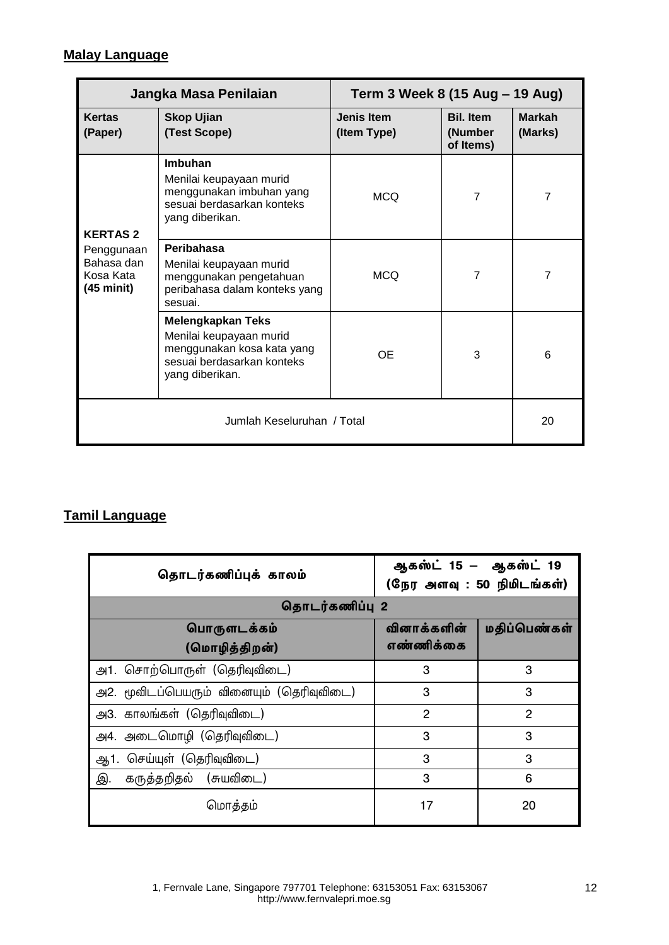### **Malay Language**

| Jangka Masa Penilaian                                        |                                                                                                                                    | Term 3 Week 8 (15 Aug - 19 Aug)  |                                          |                          |  |
|--------------------------------------------------------------|------------------------------------------------------------------------------------------------------------------------------------|----------------------------------|------------------------------------------|--------------------------|--|
| <b>Kertas</b><br>(Paper)                                     | <b>Skop Ujian</b><br>(Test Scope)                                                                                                  | <b>Jenis Item</b><br>(Item Type) | <b>Bil. Item</b><br>(Number<br>of Items) | <b>Markah</b><br>(Marks) |  |
| <b>KERTAS2</b>                                               | Imbuhan<br>Menilai keupayaan murid<br>menggunakan imbuhan yang<br>sesuai berdasarkan konteks<br>yang diberikan.                    | <b>MCQ</b>                       | $\overline{7}$                           | $\overline{7}$           |  |
| Penggunaan<br>Bahasa dan<br>Kosa Kata<br>$(45 \text{ mini})$ | Peribahasa<br>Menilai keupayaan murid<br>menggunakan pengetahuan<br>peribahasa dalam konteks yang<br>sesuai.                       | <b>MCQ</b>                       | $\overline{7}$                           | $\overline{7}$           |  |
|                                                              | <b>Melengkapkan Teks</b><br>Menilai keupayaan murid<br>menggunakan kosa kata yang<br>sesuai berdasarkan konteks<br>yang diberikan. | <b>OE</b>                        | 3                                        | 6                        |  |
| Jumlah Keseluruhan / Total                                   |                                                                                                                                    |                                  |                                          |                          |  |

# **Tamil Language**

| தொடர்கணிப்புக் காலம்                     | ஆகஸ்ட் 15 – ஆகஸ்ட் 19<br>(நேர அளவு : 50 நிமிடங்கள்) |                |  |
|------------------------------------------|-----------------------------------------------------|----------------|--|
| தொடர்கணிப்பு 2                           |                                                     |                |  |
| பொருளடக்கம்<br>(மொழித்திறன்)             | வினாக்களின்<br>எண்ணிக்கை                            | மதிப்பெண்கள்   |  |
| அ1. சொற்பொருள் (தெரிவுவிடை)              | 3                                                   | 3              |  |
| அ2. மூவிடப்பெயரும் வினையும் (தெரிவுவிடை) | 3                                                   | 3              |  |
| அ3. காலங்கள் (தெரிவுவிடை)                | $\overline{2}$                                      | $\overline{2}$ |  |
| அ4. அடைமொழி (தெரிவுவிடை)                 | 3                                                   | 3              |  |
| ஆ1. செய்யுள் (தெரிவுவிடை)                | 3                                                   | 3              |  |
| இ.<br>கருத்தறிதல் (சுயவிடை)              | 3                                                   | 6              |  |
| மொத்தம்                                  | 17                                                  | 20             |  |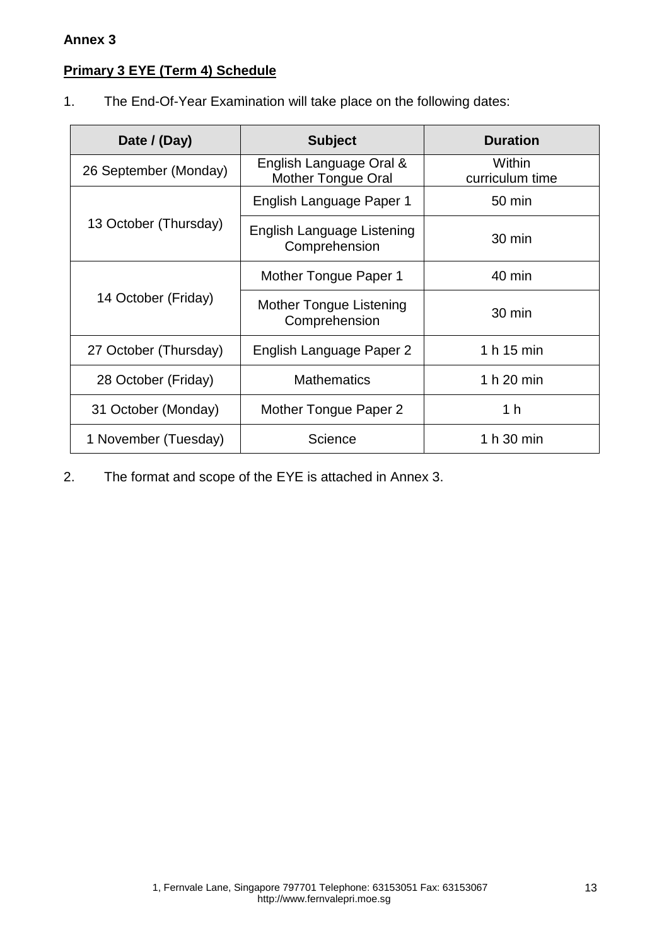#### **Annex 3**

## **Primary 3 EYE (Term 4) Schedule**

1. The End-Of-Year Examination will take place on the following dates:

| Date / (Day)          | <b>Subject</b>                                       | <b>Duration</b>           |
|-----------------------|------------------------------------------------------|---------------------------|
| 26 September (Monday) | English Language Oral &<br><b>Mother Tongue Oral</b> | Within<br>curriculum time |
|                       | English Language Paper 1                             | $50 \text{ min}$          |
| 13 October (Thursday) | English Language Listening<br>Comprehension          | $30 \text{ min}$          |
|                       | Mother Tongue Paper 1                                | 40 min                    |
| 14 October (Friday)   | Mother Tongue Listening<br>Comprehension             | 30 min                    |
| 27 October (Thursday) | English Language Paper 2                             | 1 h 15 min                |
| 28 October (Friday)   | <b>Mathematics</b>                                   | 1 h 20 min                |
| 31 October (Monday)   | Mother Tongue Paper 2                                | 1 h                       |
| 1 November (Tuesday)  | Science                                              | 1 h 30 min                |

2. The format and scope of the EYE is attached in Annex 3.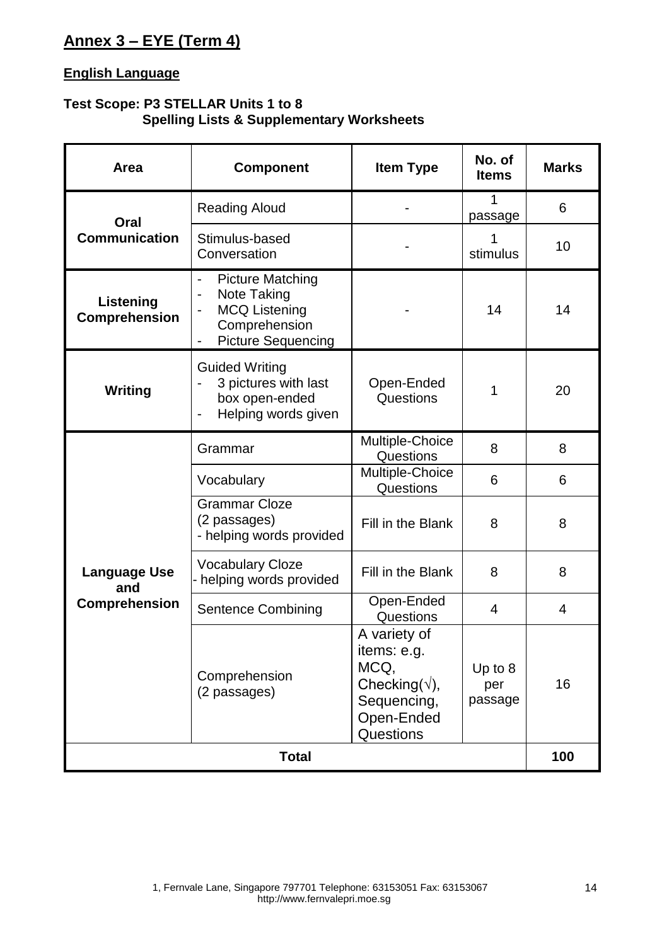## **Annex 3 – EYE (Term 4)**

### **English Language**

### **Test Scope: P3 STELLAR Units 1 to 8 Spelling Lists & Supplementary Worksheets**

| Area                       | <b>Component</b>                                                                                                                         | <b>Item Type</b>                                                                                         | No. of<br><b>Items</b>      | <b>Marks</b>   |
|----------------------------|------------------------------------------------------------------------------------------------------------------------------------------|----------------------------------------------------------------------------------------------------------|-----------------------------|----------------|
| Oral                       | <b>Reading Aloud</b>                                                                                                                     |                                                                                                          | 1<br>passage                | 6              |
| <b>Communication</b>       | Stimulus-based<br>Conversation                                                                                                           |                                                                                                          | stimulus                    | 10             |
| Listening<br>Comprehension | <b>Picture Matching</b><br>Note Taking<br>$\overline{\phantom{0}}$<br><b>MCQ Listening</b><br>Comprehension<br><b>Picture Sequencing</b> |                                                                                                          | 14                          | 14             |
| Writing                    | <b>Guided Writing</b><br>3 pictures with last<br>box open-ended<br>Helping words given                                                   | Open-Ended<br>Questions                                                                                  |                             | 20             |
|                            | Grammar                                                                                                                                  | Multiple-Choice<br>Questions                                                                             | 8                           | 8              |
|                            | Vocabulary                                                                                                                               | Multiple-Choice<br>Questions                                                                             | 6                           | 6              |
|                            | <b>Grammar Cloze</b><br>(2 passages)<br>- helping words provided                                                                         | Fill in the Blank                                                                                        | 8                           | 8              |
| <b>Language Use</b><br>and | <b>Vocabulary Cloze</b><br>- helping words provided                                                                                      | Fill in the Blank                                                                                        | 8                           | 8              |
| <b>Comprehension</b>       | <b>Sentence Combining</b>                                                                                                                | Open-Ended<br>Questions                                                                                  | 4                           | $\overline{4}$ |
|                            | Comprehension<br>(2 passages)                                                                                                            | A variety of<br>items: e.g.<br>MCQ,<br>Checking( $\sqrt{ }$ ),<br>Sequencing,<br>Open-Ended<br>Questions | Up to $8$<br>per<br>passage | 16             |
|                            | <b>Total</b>                                                                                                                             |                                                                                                          |                             | 100            |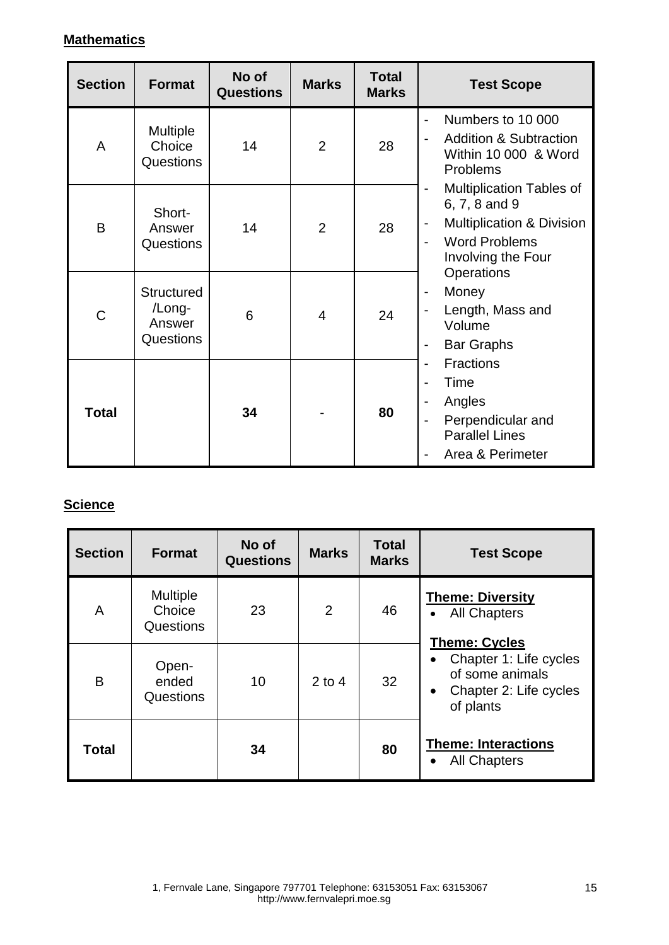## **Mathematics**

| <b>Section</b> | <b>Format</b>                                             | No of<br><b>Questions</b> | <b>Marks</b>   | <b>Total</b><br><b>Marks</b> | <b>Test Scope</b>                                                                                                                                                                        |
|----------------|-----------------------------------------------------------|---------------------------|----------------|------------------------------|------------------------------------------------------------------------------------------------------------------------------------------------------------------------------------------|
| A              | <b>Multiple</b><br>Choice<br><b>Questions</b>             | 14                        | $\overline{2}$ | 28                           | Numbers to 10 000<br><b>Addition &amp; Subtraction</b><br>$\blacksquare$<br>Within 10 000 & Word<br>Problems                                                                             |
| B              | Short-<br>Answer<br>Questions                             | 14                        | $\overline{2}$ | 28                           | <b>Multiplication Tables of</b><br>6, 7, 8 and 9<br><b>Multiplication &amp; Division</b><br>$\qquad \qquad \blacksquare$<br><b>Word Problems</b><br>$\overline{a}$<br>Involving the Four |
| C              | <b>Structured</b><br>/Long-<br>Answer<br><b>Questions</b> | 6                         | 4              | 24                           | Operations<br>Money<br>$\overline{a}$<br>Length, Mass and<br>Volume<br><b>Bar Graphs</b>                                                                                                 |
| Total          |                                                           | 34                        |                | 80                           | <b>Fractions</b><br>$\blacksquare$<br>Time<br>Angles<br>Perpendicular and<br>$\overline{\phantom{a}}$<br><b>Parallel Lines</b><br>Area & Perimeter                                       |

## **Science**

| <b>Section</b> | <b>Format</b>                          | No of<br><b>Questions</b> | <b>Marks</b> | <b>Total</b><br><b>Marks</b> | <b>Test Scope</b>                                                                                                     |
|----------------|----------------------------------------|---------------------------|--------------|------------------------------|-----------------------------------------------------------------------------------------------------------------------|
| A              | <b>Multiple</b><br>Choice<br>Questions | 23                        | 2            | 46                           | <b>Theme: Diversity</b><br><b>All Chapters</b>                                                                        |
| Β              | Open-<br>ended<br>Questions            | 10                        | $2$ to 4     | 32                           | <b>Theme: Cycles</b><br>Chapter 1: Life cycles<br>of some animals<br>Chapter 2: Life cycles<br>$\bullet$<br>of plants |
| Total          |                                        | 34                        |              | 80                           | <b>Theme: Interactions</b><br><b>All Chapters</b><br>$\bullet$                                                        |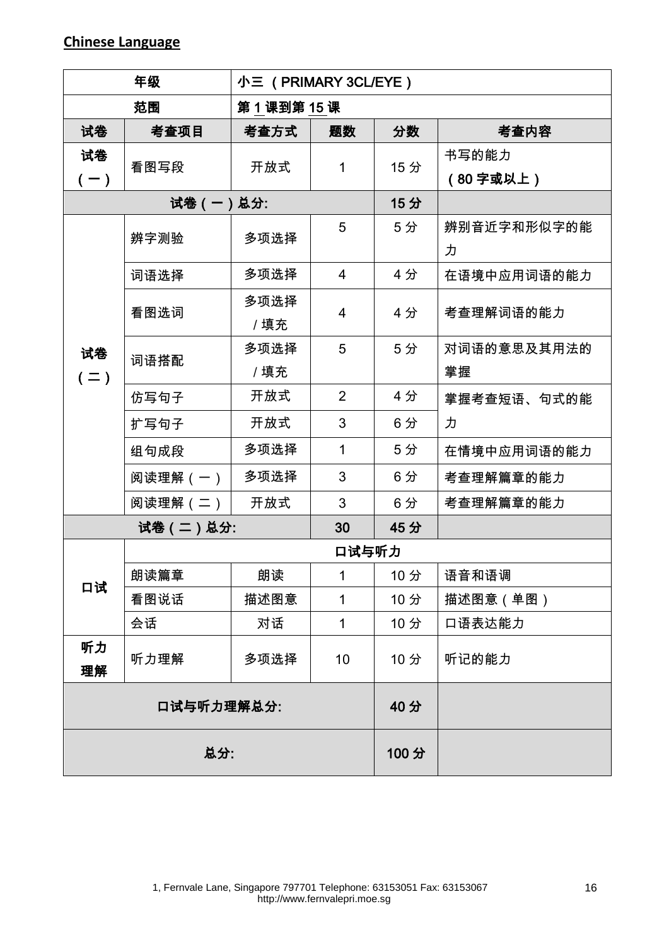### **Chinese Language**

| 年级          |                | 小三 (PRIMARY 3CL/EYE) |                |     |                   |  |
|-------------|----------------|----------------------|----------------|-----|-------------------|--|
| 范围          |                | 第1课到第15课             |                |     |                   |  |
| 试卷          | 考查项目           | 考查方式                 | 题数             | 分数  | 考查内容              |  |
| 试卷<br>$(-)$ | 看图写段           | 开放式                  | 1              | 15分 | 书写的能力<br>(80字或以上) |  |
| 试卷(一)总分:    |                |                      |                | 15分 |                   |  |
| 试卷<br>$(=)$ | 辨字测验           | 多项选择                 | 5              | 5分  | 辨别音近字和形似字的能<br>力  |  |
|             | 词语选择           | 多项选择                 | $\overline{4}$ | 4分  | 在语境中应用词语的能力       |  |
|             | 看图选词           | 多项选择<br>/填充          | 4              | 4分  | 考查理解词语的能力         |  |
|             | 词语搭配           | 多项选择<br>/填充          | 5              | 5分  | 对词语的意思及其用法的<br>掌握 |  |
|             | 仿写句子           | 开放式                  | $\overline{2}$ | 4分  | 掌握考查短语、句式的能       |  |
|             | 扩写句子           | 开放式                  | 3              | 6分  | 力                 |  |
|             | 组句成段           | 多项选择                 | $\mathbf{1}$   | 5分  | 在情境中应用词语的能力       |  |
|             | 阅读理解(一)        | 多项选择                 | 3              | 6分  | 考查理解篇章的能力         |  |
|             | 阅读理解 (二)       | 开放式                  | 3              | 6分  | 考查理解篇章的能力         |  |
|             | 试卷(二)总分:<br>30 |                      |                | 45分 |                   |  |
|             |                | 口试与听力                |                |     |                   |  |
|             | 朗读篇章           | 朗读                   | 1              | 10分 | 语音和语调             |  |
| 口试          | 看图说话           | 描述图意                 | 1              | 10分 | 描述图意(单图)          |  |
|             | 会话             | 对话                   | 1              | 10分 | 口语表达能力            |  |
| 听力<br>理解    | 听力理解           | 多项选择                 | 10             | 10分 | 听记的能力             |  |
| 口试与听力理解总分:  |                |                      |                | 40分 |                   |  |
| 总分:         |                |                      | 100分           |     |                   |  |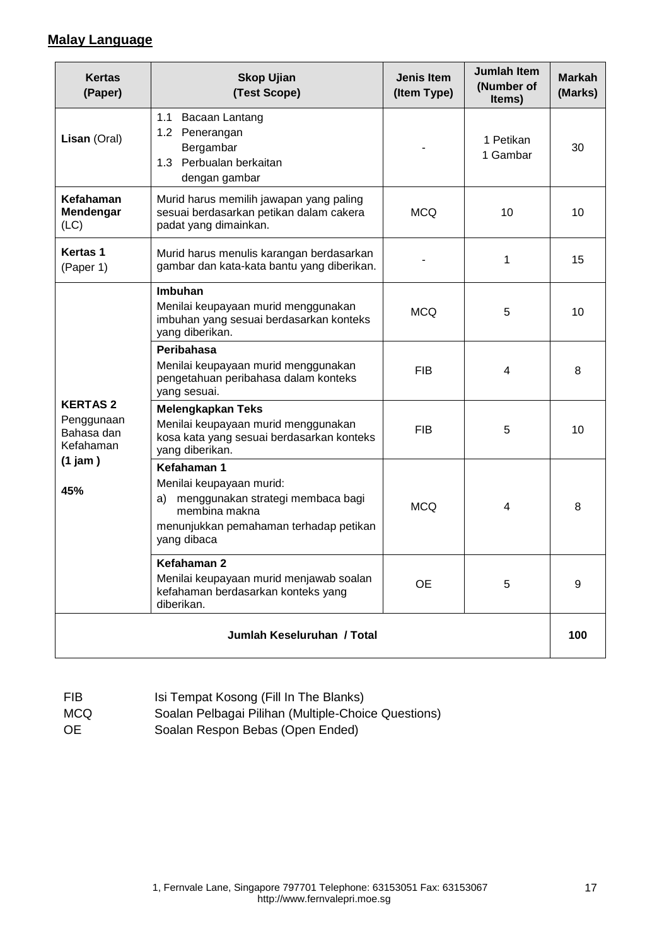### **Malay Language**

| <b>Kertas</b><br>(Paper)                                 | <b>Skop Ujian</b><br>(Test Scope)                                                                                                                            | <b>Jenis Item</b><br>(Item Type) | <b>Jumlah Item</b><br>(Number of<br>Items) | <b>Markah</b><br>(Marks) |  |  |
|----------------------------------------------------------|--------------------------------------------------------------------------------------------------------------------------------------------------------------|----------------------------------|--------------------------------------------|--------------------------|--|--|
| Lisan (Oral)                                             | 1.1<br>Bacaan Lantang<br>1.2 Penerangan<br>Bergambar<br>1.3 Perbualan berkaitan<br>dengan gambar                                                             |                                  | 1 Petikan<br>1 Gambar                      | 30                       |  |  |
| Kefahaman<br>Mendengar<br>(LC)                           | Murid harus memilih jawapan yang paling<br>sesuai berdasarkan petikan dalam cakera<br>padat yang dimainkan.                                                  |                                  | 10                                         | 10                       |  |  |
| <b>Kertas 1</b><br>(Paper 1)                             | Murid harus menulis karangan berdasarkan<br>gambar dan kata-kata bantu yang diberikan.                                                                       |                                  | 1                                          | 15                       |  |  |
|                                                          | Imbuhan<br>Menilai keupayaan murid menggunakan<br>imbuhan yang sesuai berdasarkan konteks<br>yang diberikan.                                                 | <b>MCQ</b>                       | 5                                          | 10                       |  |  |
|                                                          | Peribahasa<br>Menilai keupayaan murid menggunakan<br>pengetahuan peribahasa dalam konteks<br>yang sesuai.                                                    | <b>FIB</b>                       | 4                                          | 8                        |  |  |
| <b>KERTAS 2</b><br>Penggunaan<br>Bahasa dan<br>Kefahaman | <b>Melengkapkan Teks</b><br>Menilai keupayaan murid menggunakan<br>kosa kata yang sesuai berdasarkan konteks<br>yang diberikan.                              | <b>FIB</b>                       | 5                                          | 10                       |  |  |
| $(1)$ jam $)$<br>45%                                     | Kefahaman 1<br>Menilai keupayaan murid:<br>menggunakan strategi membaca bagi<br>a)<br>membina makna<br>menunjukkan pemahaman terhadap petikan<br>yang dibaca | <b>MCQ</b><br>4                  | 8                                          |                          |  |  |
|                                                          | Kefahaman 2<br>Menilai keupayaan murid menjawab soalan<br>kefahaman berdasarkan konteks yang<br>diberikan.                                                   | <b>OE</b>                        | 5                                          | 9                        |  |  |
| Jumlah Keseluruhan / Total                               |                                                                                                                                                              |                                  |                                            |                          |  |  |

| <b>FIB</b> | Isi Tempat Kosong (Fill In The Blanks)              |
|------------|-----------------------------------------------------|
| MCQ        | Soalan Pelbagai Pilihan (Multiple-Choice Questions) |
| OE.        | Soalan Respon Bebas (Open Ended)                    |